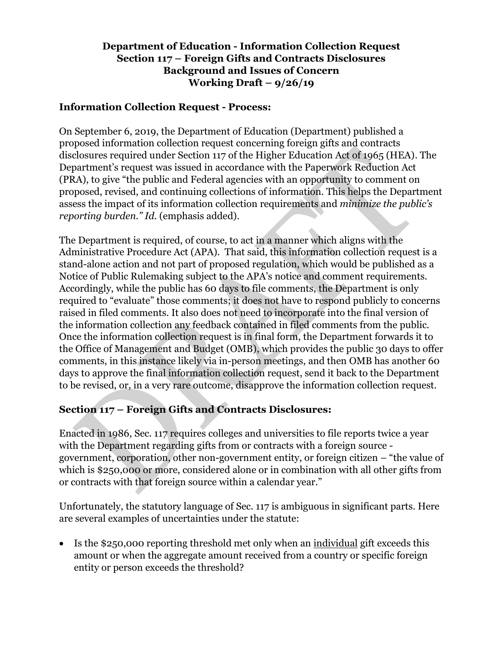### **Department of Education - Information Collection Request Section 117 – Foreign Gifts and Contracts Disclosures Background and Issues of Concern Working Draft – 9/26/19**

### **Information Collection Request - Process:**

On September 6, 2019, the Department of Education (Department) published a proposed information collection request concerning foreign gifts and contracts disclosures required under Section 117 of the Higher Education Act of 1965 (HEA). The Department's request was issued in accordance with the Paperwork Reduction Act (PRA), to give "the public and Federal agencies with an opportunity to comment on proposed, revised, and continuing collections of information. This helps the Department assess the impact of its information collection requirements and *minimize the public's reporting burden." Id.* (emphasis added).

The Department is required, of course, to act in a manner which aligns with the Administrative Procedure Act (APA). That said, this information collection request is a stand-alone action and not part of proposed regulation, which would be published as a Notice of Public Rulemaking subject to the APA's notice and comment requirements. Accordingly, while the public has 60 days to file comments, the Department is only required to "evaluate" those comments; it does not have to respond publicly to concerns raised in filed comments. It also does not need to incorporate into the final version of the information collection any feedback contained in filed comments from the public. Once the information collection request is in final form, the Department forwards it to the Office of Management and Budget (OMB), which provides the public 30 days to offer comments, in this instance likely via in-person meetings, and then OMB has another 60 days to approve the final information collection request, send it back to the Department to be revised, or, in a very rare outcome, disapprove the information collection request.

## **Section 117 – Foreign Gifts and Contracts Disclosures:**

Enacted in 1986, Sec. 117 requires colleges and universities to file reports twice a year with the Department regarding gifts from or contracts with a foreign source government, corporation, other non-government entity, or foreign citizen – "the value of which is \$250,000 or more, considered alone or in combination with all other gifts from or contracts with that foreign source within a calendar year."

Unfortunately, the statutory language of Sec. 117 is ambiguous in significant parts. Here are several examples of uncertainties under the statute:

• Is the \$250,000 reporting threshold met only when an individual gift exceeds this amount or when the aggregate amount received from a country or specific foreign entity or person exceeds the threshold?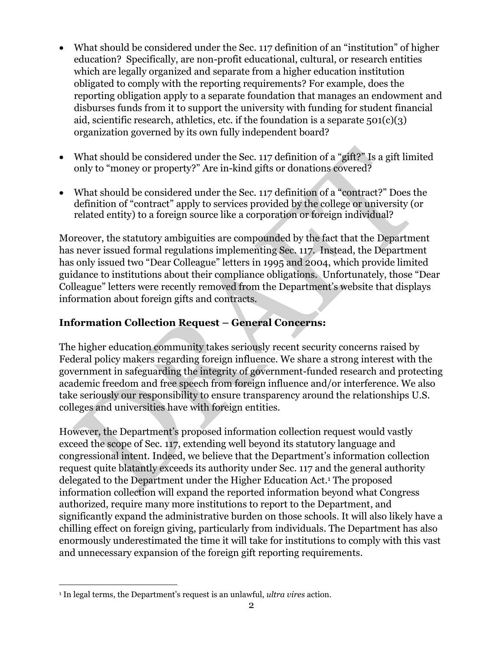- What should be considered under the Sec. 117 definition of an "institution" of higher education? Specifically, are non-profit educational, cultural, or research entities which are legally organized and separate from a higher education institution obligated to comply with the reporting requirements? For example, does the reporting obligation apply to a separate foundation that manages an endowment and disburses funds from it to support the university with funding for student financial aid, scientific research, athletics, etc. if the foundation is a separate  $501(c)(3)$ organization governed by its own fully independent board?
- What should be considered under the Sec. 117 definition of a "gift?" Is a gift limited only to "money or property?" Are in-kind gifts or donations covered?
- What should be considered under the Sec. 117 definition of a "contract?" Does the definition of "contract" apply to services provided by the college or university (or related entity) to a foreign source like a corporation or foreign individual?

Moreover, the statutory ambiguities are compounded by the fact that the Department has never issued formal regulations implementing Sec. 117. Instead, the Department has only issued two "Dear Colleague" letters in 1995 and 2004, which provide limited guidance to institutions about their compliance obligations. Unfortunately, those "Dear Colleague" letters were recently removed from the Department's website that displays information about foreign gifts and contracts.

# **Information Collection Request – General Concerns:**

The higher education community takes seriously recent security concerns raised by Federal policy makers regarding foreign influence. We share a strong interest with the government in safeguarding the integrity of government-funded research and protecting academic freedom and free speech from foreign influence and/or interference. We also take seriously our responsibility to ensure transparency around the relationships U.S. colleges and universities have with foreign entities.

However, the Department's proposed information collection request would vastly exceed the scope of Sec. 117, extending well beyond its statutory language and congressional intent. Indeed, we believe that the Department's information collection request quite blatantly exceeds its authority under Sec. 117 and the general authority delegated to the Department under the Higher Education Act.<sup>1</sup> The proposed information collection will expand the reported information beyond what Congress authorized, require many more institutions to report to the Department, and significantly expand the administrative burden on those schools. It will also likely have a chilling effect on foreign giving, particularly from individuals. The Department has also enormously underestimated the time it will take for institutions to comply with this vast and unnecessary expansion of the foreign gift reporting requirements.

<sup>1</sup> In legal terms, the Department's request is an unlawful, *ultra vires* action.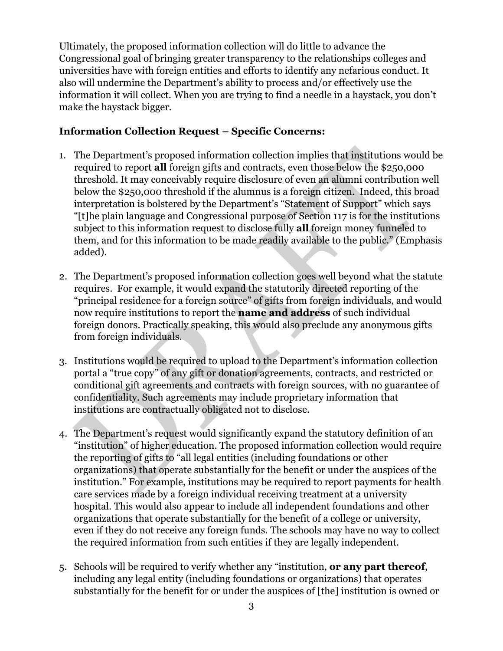Ultimately, the proposed information collection will do little to advance the Congressional goal of bringing greater transparency to the relationships colleges and universities have with foreign entities and efforts to identify any nefarious conduct. It also will undermine the Department's ability to process and/or effectively use the information it will collect. When you are trying to find a needle in a haystack, you don't make the haystack bigger.

### **Information Collection Request – Specific Concerns:**

- 1. The Department's proposed information collection implies that institutions would be required to report **all** foreign gifts and contracts, even those below the \$250,000 threshold. It may conceivably require disclosure of even an alumni contribution well below the \$250,000 threshold if the alumnus is a foreign citizen. Indeed, this broad interpretation is bolstered by the Department's "Statement of Support" which says "[t]he plain language and Congressional purpose of Section 117 is for the institutions subject to this information request to disclose fully **all** foreign money funneled to them, and for this information to be made readily available to the public." (Emphasis added).
- 2. The Department's proposed information collection goes well beyond what the statute requires. For example, it would expand the statutorily directed reporting of the "principal residence for a foreign source" of gifts from foreign individuals, and would now require institutions to report the **name and address** of such individual foreign donors. Practically speaking, this would also preclude any anonymous gifts from foreign individuals.
- 3. Institutions would be required to upload to the Department's information collection portal a "true copy" of any gift or donation agreements, contracts, and restricted or conditional gift agreements and contracts with foreign sources, with no guarantee of confidentiality. Such agreements may include proprietary information that institutions are contractually obligated not to disclose.
- 4. The Department's request would significantly expand the statutory definition of an "institution" of higher education. The proposed information collection would require the reporting of gifts to "all legal entities (including foundations or other organizations) that operate substantially for the benefit or under the auspices of the institution." For example, institutions may be required to report payments for health care services made by a foreign individual receiving treatment at a university hospital. This would also appear to include all independent foundations and other organizations that operate substantially for the benefit of a college or university, even if they do not receive any foreign funds. The schools may have no way to collect the required information from such entities if they are legally independent.
- 5. Schools will be required to verify whether any "institution, **or any part thereof**, including any legal entity (including foundations or organizations) that operates substantially for the benefit for or under the auspices of [the] institution is owned or